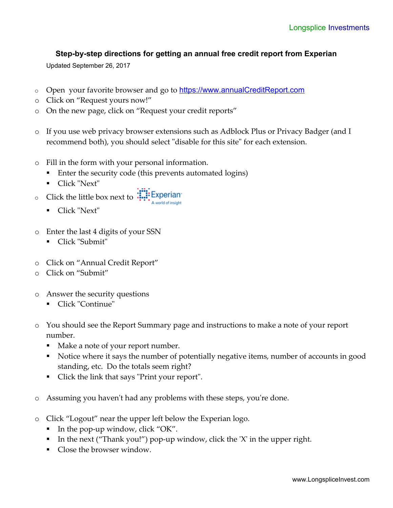## **Step-by-step directions for getting an annual free credit report from Experian**

Updated September 26, 2017

- o Open your favorite browser and go to [https://www.annualCreditReport.com](https://www.annualCreditReport.com/)
- o Click on "Request yours now!"
- o On the new page, click on "Request your credit reports"
- o If you use web privacy browser extensions such as Adblock Plus or Privacy Badger (and I recommend both), you should select "disable for this site" for each extension.
- o Fill in the form with your personal information.
	- Enter the security code (this prevents automated logins)
	- Click "Next"
- c Click the little box next to  $\frac{1}{2}$  Experiants A world of insight
	- Click "Next"
- o Enter the last 4 digits of your SSN
	- Click "Submit"
- o Click on "Annual Credit Report"
- o Click on "Submit"
- o Answer the security questions
	- Click "Continue"
- o You should see the Report Summary page and instructions to make a note of your report number.
	- Make a note of your report number.
	- Notice where it says the number of potentially negative items, number of accounts in good standing, etc. Do the totals seem right?
	- Click the link that says "Print your report".
- o Assuming you haven't had any problems with these steps, you're done.
- o Click "Logout" near the upper left below the Experian logo.
	- In the pop-up window, click "OK".
	- In the next ("Thank you!") pop-up window, click the 'X' in the upper right.
	- Close the browser window.